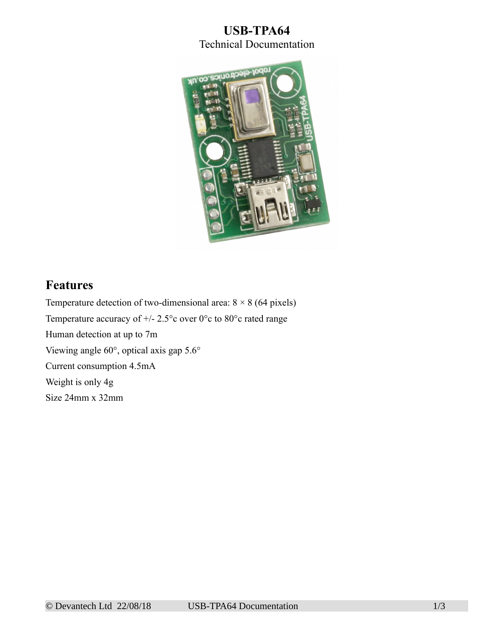## **USB-TPA64** Technical Documentation



## **Features**

Temperature detection of two-dimensional area:  $8 \times 8$  (64 pixels) Temperature accuracy of  $+/- 2.5^{\circ}$ c over 0°c to 80°c rated range Human detection at up to 7m Viewing angle 60°, optical axis gap 5.6° Current consumption 4.5mA Weight is only 4g Size 24mm x 32mm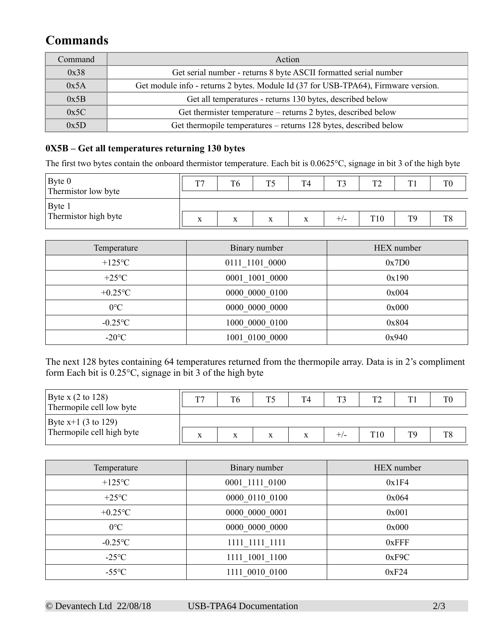# **Commands**

| Command | Action                                                                             |
|---------|------------------------------------------------------------------------------------|
| 0x38    | Get serial number - returns 8 byte ASCII formatted serial number                   |
| 0x5A    | Get module info - returns 2 bytes. Module Id (37 for USB-TPA64), Firmware version. |
| 0x5B    | Get all temperatures - returns 130 bytes, described below                          |
| 0x5C    | Get thermister temperature – returns 2 bytes, described below                      |
| 0x5D    | Get thermopile temperatures – returns 128 bytes, described below                   |

### **0X5B – Get all temperatures returning 130 bytes**

The first two bytes contain the onboard thermistor temperature. Each bit is 0.0625°C, signage in bit 3 of the high byte

| $\vert$ Byte 0<br>Thermistor low byte | ma.               | T <sub>6</sub>            | ጥሩ | T <sub>4</sub> | ጥን    | $T^{\prime}$ | T <sub>1</sub> |                |
|---------------------------------------|-------------------|---------------------------|----|----------------|-------|--------------|----------------|----------------|
| Byte 1                                |                   |                           |    |                |       |              |                |                |
| Thermistor high byte                  | $\mathbf{v}$<br>A | $\mathbf{v}$<br>$\Lambda$ | X  | x              | $+/-$ | T10          | TQ             | T <sub>8</sub> |

| Temperature    | Binary number  | HEX number |
|----------------|----------------|------------|
| $+125$ °C      | 0111 1101 0000 | 0x7D0      |
| $+25^{\circ}C$ | 0001 1001 0000 | 0x190      |
| $+0.25$ °C     | 0000 0000 0100 | 0x004      |
| $0^{\circ}C$   | 0000 0000 0000 | 0x000      |
| $-0.25$ °C     | 1000 0000 0100 | 0x804      |
| $-20$ °C       | 1001 0100 0000 | 0x940      |

The next 128 bytes containing 64 temperatures returned from the thermopile array. Data is in 2's compliment form Each bit is 0.25°C, signage in bit 3 of the high byte

| Byte x $(2 \text{ to } 128)$<br>Thermopile cell low byte | T.J |   | T4 | ፐን | mе. | T0 |
|----------------------------------------------------------|-----|---|----|----|-----|----|
| Byte $x+1$ (3 to 129)                                    |     |   |    |    |     |    |
| Thermopile cell high byte                                | л   | X | л  |    |     | T8 |

| Temperature     | Binary number  | HEX number |
|-----------------|----------------|------------|
| $+125$ °C       | 0001_1111 0100 | 0x1F4      |
| $+25^{\circ}C$  | 0000 0110 0100 | 0x064      |
| $+0.25$ °C      | 0000 0000 0001 | 0x001      |
| $0^{\circ}C$    | 0000 0000 0000 | 0x000      |
| $-0.25$ °C      | 1111 1111 1111 | $0x$ FFF   |
| $-25^{\circ}$ C | 1111 1001 1100 | 0xF9C      |
| $-55^{\circ}$ C | 1111 0010 0100 | 0xF24      |